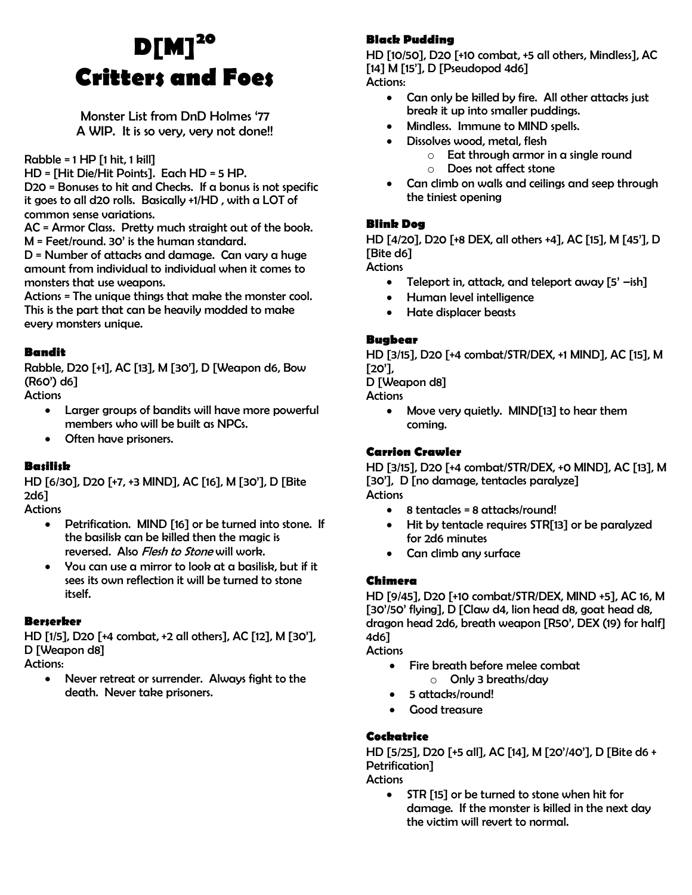# **D[M]<sup>20</sup> Critters and Foes**

Monster List from DnD Holmes '77 A WIP. It is so very, very not done!!

Rabble =  $1$  HP  $[1$  hit,  $1$  kill]

HD = [Hit Die/Hit Points]. Each HD = 5 HP.

D20 = Bonuses to hit and Checks. If a bonus is not specific it goes to all d20 rolls. Basically +1/HD , with a LOT of common sense variations.

AC = Armor Class. Pretty much straight out of the book. M = Feet/round. 30' is the human standard.

D = Number of attacks and damage. Can vary a huge amount from individual to individual when it comes to monsters that use weapons.

Actions = The unique things that make the monster cool. This is the part that can be heavily modded to make every monsters unique.

## **Bandit**

Rabble, D20 [+1], AC [13], M [30'], D [Weapon d6, Bow (R60') d6]

**Actions** 

- Larger groups of bandits will have more powerful members who will be built as NPCs.
- Often have prisoners.

# **Basilisk**

HD [6/30], D20 [+7, +3 MIND], AC [16], M [30'], D [Bite 2d6]

**Actions** 

- Petrification. MIND [16] or be turned into stone. If the basilisk can be killed then the magic is reversed. Also *Flesh to Stone* will work.
- You can use a mirror to look at a basilisk, but if it sees its own reflection it will be turned to stone itself.

# **Berserker**

HD [1/5], D20 [+4 combat, +2 all others], AC [12], M [30'], D [Weapon d8]

Actions:

 Never retreat or surrender. Always fight to the death. Never take prisoners.

# **Black Pudding**

HD [10/50], D20 [+10 combat, +5 all others, Mindless], AC [14] M [15'], D [Pseudopod 4d6]

Actions:

- Can only be killed by fire. All other attacks just break it up into smaller puddings.
- Mindless. Immune to MIND spells.
- Dissolves wood, metal, flesh
	- $\circ$  Eat through armor in a single round
	- o Does not affect stone
- Can climb on walls and ceilings and seep through the tiniest opening

## **Blink Dog**

HD [4/20], D20 [+8 DEX, all others +4], AC [15], M [45'], D [Bite d6]

**Actions** 

- Teleport in, attack, and teleport away  $[5'$  -ish]
- Human level intelligence
- Hate displacer beasts

#### **Bugbear**

HD [3/15], D20 [+4 combat/STR/DEX, +1 MIND], AC [15], M [20'],

D [Weapon d8]

**Actions** 

• Move very quietly. MIND[13] to hear them coming.

#### **Carrion Crawler**

HD [3/15], D20 [+4 combat/STR/DEX, +0 MIND], AC [13], M [30'], D [no damage, tentacles paralyze] Actions

- $\bullet$  8 tentacles = 8 attacks/round!
- Hit by tentacle requires STR[13] or be paralyzed for 2d6 minutes
- Can climb any surface

#### **Chimera**

HD [9/45], D20 [+10 combat/STR/DEX, MIND +5], AC 16, M [30'/50' flying], D [Claw d4, lion head d8, goat head d8, dragon head 2d6, breath weapon [R50', DEX (19) for half] 4d6]

**Actions** 

- Fire breath before melee combat
	- o Only 3 breaths/day
- 5 attacks/round!
- Good treasure

# **Cockatrice**

HD [5/25], D20 [+5 all], AC [14], M [20'/40'], D [Bite d6 + Petrification]

Actions

• STR [15] or be turned to stone when hit for damage. If the monster is killed in the next day the victim will revert to normal.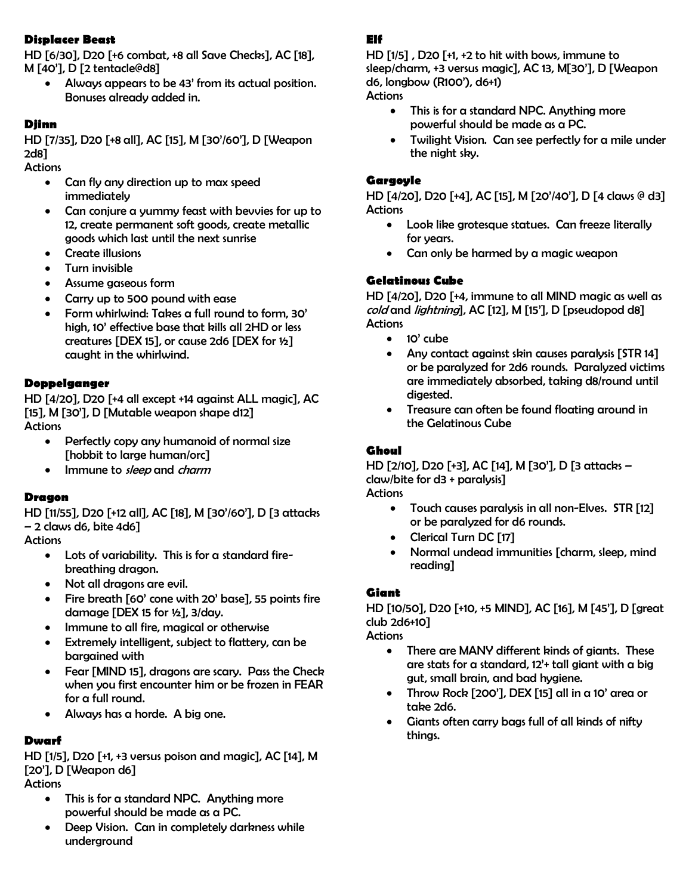# **Displacer Beast**

HD [6/30], D20 [+6 combat, +8 all Save Checks], AC [18], M [40'], D [2 tentacle@d8]

 Always appears to be 43' from its actual position. Bonuses already added in.

#### **Djinn**

HD [7/35], D20 [+8 all], AC [15], M [30'/60'], D [Weapon 2d8]

**Actions** 

- Can fly any direction up to max speed immediately
- Can conjure a yummy feast with bevvies for up to 12, create permanent soft goods, create metallic goods which last until the next sunrise
- Create illusions
- Turn invisible
- Assume gaseous form
- Carry up to 500 pound with ease
- Form whirlwind: Takes a full round to form, 30' high, 10' effective base that kills all 2HD or less creatures [DEX 15], or cause 2d6 [DEX for ½] caught in the whirlwind.

#### **Doppelganger**

HD [4/20], D20 [+4 all except +14 against ALL magic], AC [15], M [30'], D [Mutable weapon shape d12] **Actions** 

- Perfectly copy any humanoid of normal size [hobbit to large human/orc]
- Immune to sleep and charm

#### **Dragon**

HD [11/55], D20 [+12 all], AC [18], M [30'/60'], D [3 attacks – 2 claws d6, bite 4d6]

**Actions** 

- Lots of variability. This is for a standard firebreathing dragon.
- Not all dragons are evil.
- Fire breath [60' cone with 20' base], 55 points fire damage [DEX 15 for ½], 3/day.
- Immune to all fire, magical or otherwise
- Extremely intelligent, subject to flattery, can be bargained with
- Fear [MIND 15], dragons are scary. Pass the Check when you first encounter him or be frozen in FEAR for a full round.
- Always has a horde. A big one.

#### **Dwarf**

HD [1/5], D20 [+1, +3 versus poison and magic], AC [14], M [20'], D [Weapon d6] **Actions** 

- This is for a standard NPC. Anything more powerful should be made as a PC.
- Deep Vision. Can in completely darkness while underground

## **Elf**

HD [1/5] , D20 [+1, +2 to hit with bows, immune to sleep/charm, +3 versus magic], AC 13, M[30'], D [Weapon d6, longbow (R100'), d6+1) **Actions** 

- This is for a standard NPC. Anything more powerful should be made as a PC.
- Twilight Vision. Can see perfectly for a mile under the night sky.

#### **Gargoyle**

HD [4/20], D20 [+4], AC [15], M [20'/40'], D [4 claws @ d3] **Actions** 

- Look like grotesque statues. Can freeze literally for years.
- Can only be harmed by a magic weapon

#### **Gelatinous Cube**

HD [4/20], D20 [+4, immune to all MIND magic as well as cold and lightning], AC [12], M [15'], D [pseudopod d8] **Actions** 

- $\bullet$  10' cube
- Any contact against skin causes paralysis [STR 14] or be paralyzed for 2d6 rounds. Paralyzed victims are immediately absorbed, taking d8/round until digested.
- Treasure can often be found floating around in the Gelatinous Cube

#### **Ghoul**

HD [2/10], D20 [+3], AC [14], M [30'], D [3 attacks – claw/bite for d3 + paralysis] **Actions** 

- Touch causes paralysis in all non-Elves. STR [12] or be paralyzed for d6 rounds.
- Clerical Turn DC [17]
- Normal undead immunities [charm, sleep, mind reading]

#### **Giant**

HD [10/50], D20 [+10, +5 MIND], AC [16], M [45'], D [great club 2d6+10]

**Actions** 

- There are MANY different kinds of giants. These are stats for a standard,  $12'$ + tall giant with a big gut, small brain, and bad hygiene.
- Throw Rock  $[200']$ , DEX  $[15]$  all in a 10' area or take 2d6.
- Giants often carry bags full of all kinds of nifty things.